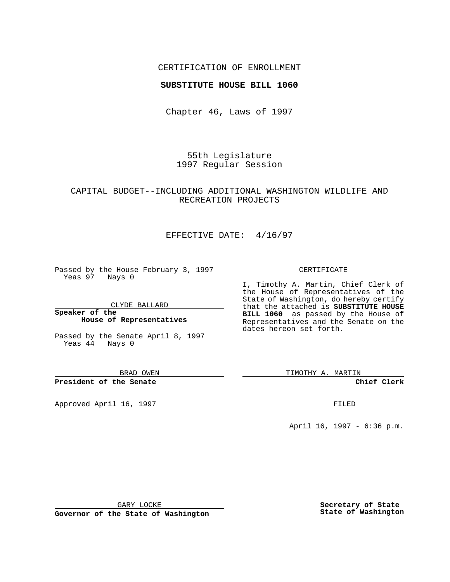## CERTIFICATION OF ENROLLMENT

## **SUBSTITUTE HOUSE BILL 1060**

Chapter 46, Laws of 1997

55th Legislature 1997 Regular Session

## CAPITAL BUDGET--INCLUDING ADDITIONAL WASHINGTON WILDLIFE AND RECREATION PROJECTS

# EFFECTIVE DATE: 4/16/97

Passed by the House February 3, 1997 Yeas 97 Nays 0

CLYDE BALLARD

**Speaker of the House of Representatives**

Passed by the Senate April 8, 1997 Yeas 44 Nays 0

BRAD OWEN

**President of the Senate**

Approved April 16, 1997 **FILED** 

#### CERTIFICATE

I, Timothy A. Martin, Chief Clerk of the House of Representatives of the State of Washington, do hereby certify that the attached is **SUBSTITUTE HOUSE BILL 1060** as passed by the House of Representatives and the Senate on the dates hereon set forth.

TIMOTHY A. MARTIN

**Chief Clerk**

April 16, 1997 - 6:36 p.m.

GARY LOCKE

**Governor of the State of Washington**

**Secretary of State State of Washington**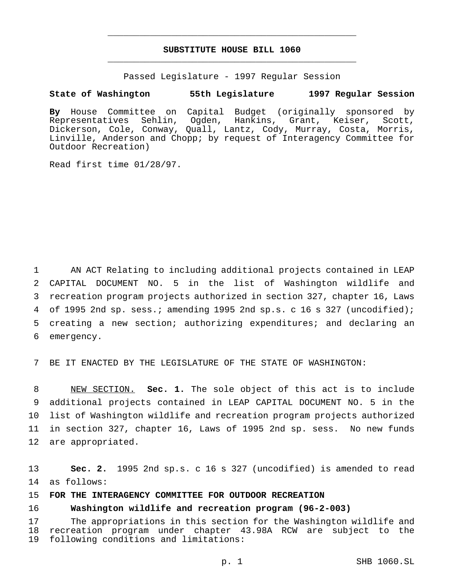# **SUBSTITUTE HOUSE BILL 1060** \_\_\_\_\_\_\_\_\_\_\_\_\_\_\_\_\_\_\_\_\_\_\_\_\_\_\_\_\_\_\_\_\_\_\_\_\_\_\_\_\_\_\_\_\_\_\_

\_\_\_\_\_\_\_\_\_\_\_\_\_\_\_\_\_\_\_\_\_\_\_\_\_\_\_\_\_\_\_\_\_\_\_\_\_\_\_\_\_\_\_\_\_\_\_

Passed Legislature - 1997 Regular Session

### **State of Washington 55th Legislature 1997 Regular Session**

**By** House Committee on Capital Budget (originally sponsored by Representatives Sehlin, Ogden, Hankins, Grant, Keiser, Scott, Dickerson, Cole, Conway, Quall, Lantz, Cody, Murray, Costa, Morris, Linville, Anderson and Chopp; by request of Interagency Committee for Outdoor Recreation)

Read first time 01/28/97.

 AN ACT Relating to including additional projects contained in LEAP CAPITAL DOCUMENT NO. 5 in the list of Washington wildlife and recreation program projects authorized in section 327, chapter 16, Laws of 1995 2nd sp. sess.; amending 1995 2nd sp.s. c 16 s 327 (uncodified); creating a new section; authorizing expenditures; and declaring an emergency.

BE IT ENACTED BY THE LEGISLATURE OF THE STATE OF WASHINGTON:

 NEW SECTION. **Sec. 1.** The sole object of this act is to include additional projects contained in LEAP CAPITAL DOCUMENT NO. 5 in the list of Washington wildlife and recreation program projects authorized in section 327, chapter 16, Laws of 1995 2nd sp. sess. No new funds are appropriated.

 **Sec. 2.** 1995 2nd sp.s. c 16 s 327 (uncodified) is amended to read as follows:

## **FOR THE INTERAGENCY COMMITTEE FOR OUTDOOR RECREATION**

# **Washington wildlife and recreation program (96-2-003)**

 The appropriations in this section for the Washington wildlife and recreation program under chapter 43.98A RCW are subject to the following conditions and limitations: